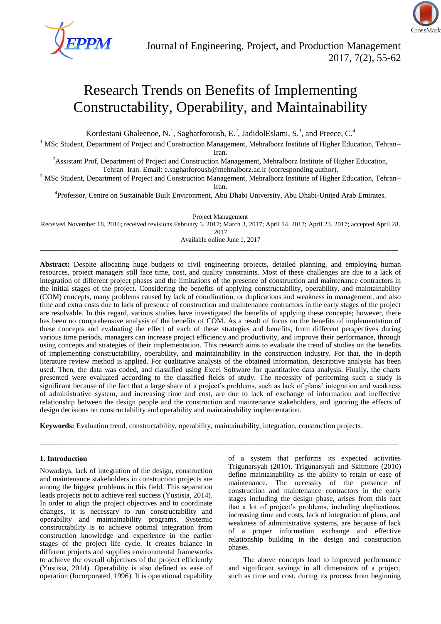

# Research Trends on Benefits of Implementing Constructability, Operability, and Maintainability

Kordestani Ghaleenoe, N.<sup>1</sup>, Saghatforoush, E.<sup>2</sup>, JadidolEslami, S.<sup>3</sup>, and Preece, C.<sup>4</sup>

<sup>1</sup> MSc Student, Department of Project and Construction Management, Mehralborz Institute of Higher Education, Tehran–

Iran.

<sup>2</sup>Assistant Prof, Department of Project and Construction Management, Mehralborz Institute of Higher Education, Tehran–Iran. Email: [e.saghatforoush@mehralborz.ac.ir](mailto:e.saghatforoush@mehralborz.ac.ir) (corresponding author).

<sup>3</sup> MSc Student, Department of Project and Construction Management, Mehralborz Institute of Higher Education, Tehran– Iran.

<sup>4</sup>Professor, Centre on Sustainable Built Environment, [Abu Dhabi University,](https://www.linkedin.com/company/324772?trk=prof-0-ovw-curr_pos) Abu Dhabi[-United Arab Emirates.](https://www.linkedin.com/vsearch/p?countryCode=ae&trk=prof-0-ovw-location)

Project Management

Received November 18, 2016; received revisions February 5, 2017; March 3, 2017; April 14, 2017; April 23, 2017; accepted April 28, 2017

Available online June 1, 2017 \_\_\_\_\_\_\_\_\_\_\_\_\_\_\_\_\_\_\_\_\_\_\_\_\_\_\_\_\_\_\_\_\_\_\_\_\_\_\_\_\_\_\_\_\_\_\_\_\_\_\_\_\_\_\_\_\_\_\_\_\_\_\_\_\_\_\_\_\_\_\_\_\_\_\_\_\_\_\_\_\_\_\_\_\_\_\_\_\_\_\_\_\_\_\_\_\_\_\_\_\_\_\_\_\_\_\_\_

**Abstract:** Despite allocating huge budgets to civil engineering projects, detailed planning, and employing human resources, project managers still face time, cost, and quality constraints. Most of these challenges are due to a lack of integration of different project phases and the limitations of the presence of construction and maintenance contractors in the initial stages of the project. Considering the benefits of applying constructability, operability, and maintainability (COM) concepts, many problems caused by lack of coordination, or duplications and weakness in management, and also time and extra costs due to lack of presence of construction and maintenance contractors in the early stages of the project are resolvable. In this regard, various studies have investigated the benefits of applying these concepts; however, there has been no comprehensive analysis of the benefits of COM. As a result of focus on the benefits of implementation of these concepts and evaluating the effect of each of these strategies and benefits, from different perspectives during various time periods, managers can increase project efficiency and productivity, and improve their performance, through using concepts and strategies of their implementation. This research aims to evaluate the trend of studies on the benefits of implementing constructability, operability, and maintainability in the construction industry. For that, the in-depth literature review method is applied. For qualitative analysis of the obtained information, descriptive analysis has been used. Then, the data was coded, and classified using Excel Software for quantitative data analysis. Finally, the charts presented were evaluated according to the classified fields of study. The necessity of performing such a study is significant because of the fact that a large share of a project's problems, such as lack of plans' integration and weakness of administrative system, and increasing time and cost, are due to lack of exchange of information and ineffective relationship between the design people and the construction and maintenance stakeholders, and ignoring the effects of design decisions on constructability and operability and maintainability implementation.

**Keywords:** Evaluation trend, constructability, operability, maintainability, integration, construction projects.

\_\_\_\_\_\_\_\_\_\_\_\_\_\_\_\_\_\_\_\_\_\_\_\_\_\_\_\_\_\_\_\_\_\_\_\_\_\_\_\_\_\_\_\_\_\_\_\_\_\_\_\_\_\_\_\_\_\_\_\_\_\_\_\_\_\_\_\_\_\_\_\_\_\_\_\_\_\_\_\_\_\_\_\_\_\_\_\_\_\_\_\_\_\_\_\_\_\_\_\_\_\_\_\_\_\_\_\_

# **1. Introduction**

Nowadays, lack of integration of the design, construction and maintenance stakeholders in construction projects are among the biggest problems in this field. This separation leads projects not to achieve real success (Yustisia, 2014). In order to align the project objectives and to coordinate changes, it is necessary to run constructability and operability and maintainability programs. Systemic constructability is to achieve optimal integration from construction knowledge and experience in the earlier stages of the project life cycle. It creates balance in different projects and supplies environmental frameworks to achieve the overall objectives of the project efficiently (Yustisia, 2014). Operability is also defined as ease of operation (Incorporated, 1996). It is operational capability

of a system that performs its expected activities Trigunarsyah (2010). Trigunarsyah and Skitmore (2010) define maintainability as the ability to retain or ease of maintenance. The necessity of the presence of construction and maintenance contractors in the early stages including the design phase, arises from this fact that a lot of project's problems, including duplications, increasing time and costs, lack of integration of plans, and weakness of administrative systems, are because of lack of a proper information exchange and effective relationship building in the design and construction phases.

The above concepts lead to improved performance and significant savings in all dimensions of a project, such as time and cost, during its process from beginning

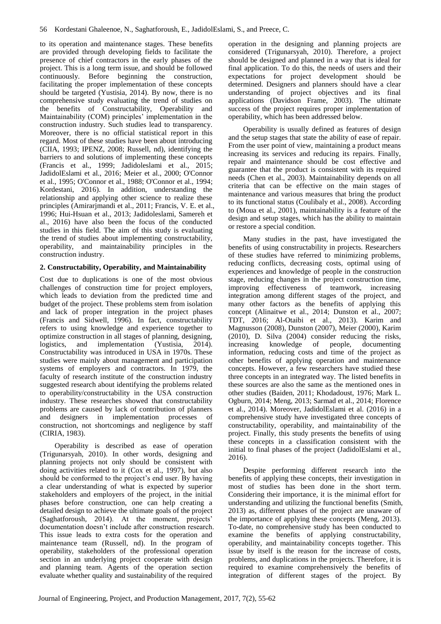to its operation and maintenance stages. These benefits are provided through developing fields to facilitate the presence of chief contractors in the early phases of the project. This is a long term issue, and should be followed continuously. Before beginning the construction, facilitating the proper implementation of these concepts should be targeted (Yustisia, 2014). By now, there is no comprehensive study evaluating the trend of studies on the benefits of Constructability, Operability and Maintainability (COM) principles' implementation in the construction industry. Such studies lead to transparency. Moreover, there is no official statistical report in this regard. Most of these studies have been about introducing (CIIA, 1993; IPENZ, 2008; Russell, nd), identifying the barriers to and solutions of implementing these concepts (Francis et al., 1999; Jadidoleslami et al., 2015; JadidolEslami et al., 2016; Meier et al., 2000; O'Connor et al., 1995; O'Connor et al., 1988; O'Connor et al., 1994; Kordestani, 2016). In addition, understanding the relationship and applying other science to realize these principles (Amirarjmandi et al., 2011; Francis, V. E. et al., 1996; Hui-Hsuan et al., 2013; Jadidoleslami, Samereh et al., 2016) have also been the focus of the conducted studies in this field. The aim of this study is evaluating the trend of studies about implementing constructability, operability, and maintainability principles in the construction industry.

# **2. Constructability, Operability, and Maintainability**

Cost due to duplications is one of the most obvious challenges of construction time for project employers, which leads to deviation from the predicted time and budget of the project. These problems stem from isolation and lack of proper integration in the project phases (Francis and Sidwell, 1996). In fact, constructability refers to using knowledge and experience together to optimize construction in all stages of planning, designing, logistics, and implementation (Yustisia, 2014). Constructability was introduced in USA in 1970s. These studies were mainly about management and participation systems of employers and contractors. In 1979, the faculty of research institute of the construction industry suggested research about identifying the problems related to operability/constructability in the USA construction industry. These researches showed that constructability problems are caused by lack of contribution of planners and designers in implementation processes of construction, not shortcomings and negligence by staff (CIRIA, 1983).

Operability is described as ease of operation (Trigunarsyah, 2010). In other words, designing and planning projects not only should be consistent with doing activities related to it (Cox et al., 1997), but also should be conformed to the project's end user. By having a clear understanding of what is expected by superior stakeholders and employers of the project, in the initial phases before construction, one can help creating a detailed design to achieve the ultimate goals of the project (Saghatforoush, 2014). At the moment, projects' documentation doesn't include after construction research. This issue leads to extra costs for the operation and maintenance team (Russell, nd). In the program of operability, stakeholders of the professional operation section in an underlying project cooperate with design and planning team. Agents of the operation section evaluate whether quality and sustainability of the required

operation in the designing and planning projects are considered (Trigunarsyah, 2010). Therefore, a project should be designed and planned in a way that is ideal for final application. To do this, the needs of users and their expectations for project development should be determined. Designers and planners should have a clear understanding of project objectives and its final applications (Davidson Frame, 2003). The ultimate success of the project requires proper implementation of operability, which has been addressed below.

Operability is usually defined as features of design and the setup stages that state the ability of ease of repair. From the user point of view, maintaining a product means increasing its services and reducing its repairs. Finally, repair and maintenance should be cost effective and guarantee that the product is consistent with its required needs (Chen et al., 2003). Maintainability depends on all criteria that can be effective on the main stages of maintenance and various measures that bring the product to its functional status (Coulibaly et al., 2008). According to (Moua et al., 2001), maintainability is a feature of the design and setup stages, which has the ability to maintain or restore a special condition.

Many studies in the past, have investigated the benefits of using constructability in projects. Researchers of these studies have referred to minimizing problems, reducing conflicts, decreasing costs, optimal using of experiences and knowledge of people in the construction stage, reducing changes in the project construction time, improving effectiveness of teamwork, increasing integration among different stages of the project, and many other factors as the benefits of applying this concept (Alinaitwe et al., 2014; Dunston et al., 2007; TDT, 2016; Al-Otaibi et al., 2013). Karim and Magnusson (2008), Dunston (2007), Meier (2000), Karim (2010), D. Silva (2004) consider reducing the risks, increasing knowledge of people, documenting information, reducing costs and time of the project as other benefits of applying operation and maintenance concepts. However, a few researchers have studied these three concepts in an integrated way. The listed benefits in these sources are also the same as the mentioned ones in other studies (Baiden, 2011; Khodadoust, 1976; Mark L. Ogburn, 2014; Meng, 2013; Sarmad et al., 2014; Florence et al., 2014). Moreover, JadidolEslami et al. (2016) in a comprehensive study have investigated three concepts of constructability, operability, and maintainability of the project. Finally, this study presents the benefits of using these concepts in a classification consistent with the initial to final phases of the project (JadidolEslami et al., 2016).

Despite performing different research into the benefits of applying these concepts, their investigation in most of studies has been done in the short term. Considering their importance, it is the minimal effort for understanding and utilizing the functional benefits (Smith, 2013) as, different phases of the project are unaware of the importance of applying these concepts (Meng, 2013). To-date, no comprehensive study has been conducted to examine the benefits of applying constructability, operability, and maintainability concepts together. This issue by itself is the reason for the increase of costs, problems, and duplications in the projects. Therefore, it is required to examine comprehensively the benefits of integration of different stages of the project. By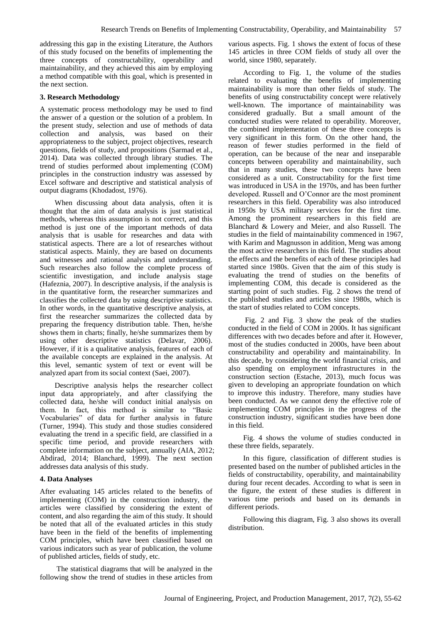addressing this gap in the existing Literature, the Authors of this study focused on the benefits of implementing the three concepts of constructability, operability and maintainability, and they achieved this aim by employing a method compatible with this goal, which is presented in the next section.

### **3. Research Methodology**

A systematic process methodology may be used to find the answer of a question or the solution of a problem. In the present study, selection and use of methods of data collection and analysis, was based on their appropriateness to the subject, project objectives, research questions, fields of study, and propositions (Sarmad et al., 2014). Data was collected through library studies. The trend of studies performed about implementing (COM) principles in the construction industry was assessed by Excel software and descriptive and statistical analysis of output diagrams (Khodadost, 1976).

When discussing about data analysis, often it is thought that the aim of data analysis is just statistical methods, whereas this assumption is not correct, and this method is just one of the important methods of data analysis that is usable for researches and data with statistical aspects. There are a lot of researches without statistical aspects. Mainly, they are based on documents and witnesses and rational analysis and understanding. Such researches also follow the complete process of scientific investigation, and include analysis stage (Hafeznia, 2007). In descriptive analysis, if the analysis is in the quantitative form, the researcher summarizes and classifies the collected data by using descriptive statistics. In other words, in the quantitative descriptive analysis, at first the researcher summarizes the collected data by preparing the frequency distribution table. Then, he/she shows them in charts; finally, he/she summarizes them by using other descriptive statistics (Delavar, 2006). However, if it is a qualitative analysis, features of each of the available concepts are explained in the analysis. At this level, semantic system of text or event will be analyzed apart from its social context (Saei, 2007).

Descriptive analysis helps the researcher collect input data appropriately, and after classifying the collected data, he/she will conduct initial analysis on them. In fact, this method is similar to "Basic Vocabularies" of data for further analysis in future (Turner, 1994). This study and those studies considered evaluating the trend in a specific field, are classified in a specific time period, and provide researchers with complete information on the subject, annually (AIA, 2012; Abdirad, 2014; Blanchard, 1999). The next section addresses data analysis of this study.

#### **4. Data Analyses**

After evaluating 145 articles related to the benefits of implementing (COM) in the construction industry, the articles were classified by considering the extent of content, and also regarding the aim of this study. It should be noted that all of the evaluated articles in this study have been in the field of the benefits of implementing COM principles, which have been classified based on various indicators such as year of publication, the volume of published articles, fields of study, etc.

The statistical diagrams that will be analyzed in the following show the trend of studies in these articles from various aspects. Fig. 1 shows the extent of focus of these 145 articles in three COM fields of study all over the world, since 1980, separately.

According to Fig. 1, the volume of the studies related to evaluating the benefits of implementing maintainability is more than other fields of study. The benefits of using constructability concept were relatively well-known. The importance of maintainability was considered gradually. But a small amount of the conducted studies were related to operability. Moreover, the combined implementation of these three concepts is very significant in this form. On the other hand, the reason of fewer studies performed in the field of operation, can be because of the near and inseparable concepts between operability and maintainability, such that in many studies, these two concepts have been considered as a unit. Constructability for the first time was introduced in USA in the 1970s, and has been further developed. Russell and O'Connor are the most prominent researchers in this field. Operability was also introduced in 1950s by USA military services for the first time. Among the prominent researchers in this field are Blanchard & Lowery and Meier, and also Russell. The studies in the field of maintainability commenced in 1967, with Karim and Magnusson in addition, Meng was among the most active researchers in this field. The studies about the effects and the benefits of each of these principles had started since 1980s. Given that the aim of this study is evaluating the trend of studies on the benefits of implementing COM, this decade is considered as the starting point of such studies. Fig. 2 shows the trend of the published studies and articles since 1980s, which is the start of studies related to COM concepts.

Fig. 2 and Fig. 3 show the peak of the studies conducted in the field of COM in 2000s. It has significant differences with two decades before and after it. However, most of the studies conducted in 2000s, have been about constructability and operability and maintainability. In this decade, by considering the world financial crisis, and also spending on employment infrastructures in the construction section (Estache, 2013), much focus was given to developing an appropriate foundation on which to improve this industry. Therefore, many studies have been conducted. As we cannot deny the effective role of implementing COM principles in the progress of the construction industry, significant studies have been done in this field.

Fig. 4 shows the volume of studies conducted in these three fields, separately.

In this figure, classification of different studies is presented based on the number of published articles in the fields of constructability, operability, and maintainability during four recent decades. According to what is seen in the figure, the extent of these studies is different in various time periods and based on its demands in different periods.

Following this diagram, Fig. 3 also shows its overall distribution.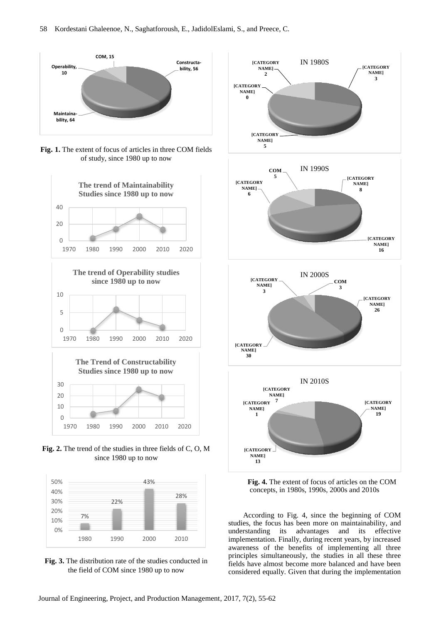

**Fig. 1.** The extent of focus of articles in three COM fields of study, since 1980 up to now







**Fig. 2.** The trend of the studies in three fields of C, O, M since 1980 up to now



**Fig. 3.** The distribution rate of the studies conducted in the field of COM since 1980 up to now



**Fig. 4.** The extent of focus of articles on the COM concepts, in 1980s, 1990s, 2000s and 2010s

According to Fig. 4, since the beginning of COM studies, the focus has been more on maintainability, and understanding its advantages and its effective implementation. Finally, during recent years, by increased awareness of the benefits of implementing all three principles simultaneously, the studies in all these three fields have almost become more balanced and have been considered equally. Given that during the implementation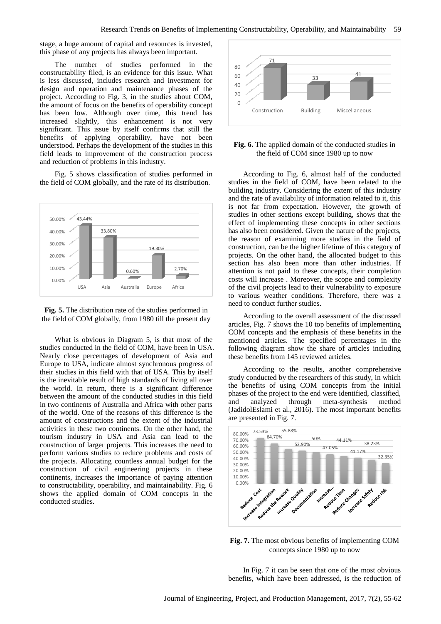stage, a huge amount of capital and resources is invested, this phase of any projects has always been important.

The number of studies performed in the constructability filed, is an evidence for this issue. What is less discussed, includes research and investment for design and operation and maintenance phases of the project. According to Fig. 3, in the studies about COM, the amount of focus on the benefits of operability concept has been low. Although over time, this trend has increased slightly, this enhancement is not very significant. This issue by itself confirms that still the benefits of applying operability, have not been understood. Perhaps the development of the studies in this field leads to improvement of the construction process and reduction of problems in this industry.

Fig. 5 shows classification of studies performed in the field of COM globally, and the rate of its distribution.



**Fig. 5.** The distribution rate of the studies performed in the field of COM globally, from 1980 till the present day

What is obvious in Diagram 5, is that most of the studies conducted in the field of COM, have been in USA. Nearly close percentages of development of Asia and Europe to USA, indicate almost synchronous progress of their studies in this field with that of USA. This by itself is the inevitable result of high standards of living all over the world. In return, there is a significant difference between the amount of the conducted studies in this field in two continents of Australia and Africa with other parts of the world. One of the reasons of this difference is the amount of constructions and the extent of the industrial activities in these two continents. On the other hand, the tourism industry in USA and Asia can lead to the construction of larger projects. This increases the need to perform various studies to reduce problems and costs of the projects. Allocating countless annual budget for the construction of civil engineering projects in these continents, increases the importance of paying attention to constructability, operability, and maintainability. Fig. 6 shows the applied domain of COM concepts in the conducted studies.



## **Fig. 6.** The applied domain of the conducted studies in the field of COM since 1980 up to now

According to Fig. 6, almost half of the conducted studies in the field of COM, have been related to the building industry. Considering the extent of this industry and the rate of availability of information related to it, this is not far from expectation. However, the growth of studies in other sections except building, shows that the effect of implementing these concepts in other sections has also been considered. Given the nature of the projects, the reason of examining more studies in the field of construction, can be the higher lifetime of this category of projects. On the other hand, the allocated budget to this section has also been more than other industries. If attention is not paid to these concepts, their completion costs will increase . Moreover, the scope and complexity of the civil projects lead to their vulnerability to exposure to various weather conditions. Therefore, there was a need to conduct further studies.

According to the overall assessment of the discussed articles, Fig. 7 shows the 10 top benefits of implementing COM concepts and the emphasis of these benefits in the mentioned articles. The specified percentages in the following diagram show the share of articles including these benefits from 145 reviewed articles.

According to the results, another comprehensive study conducted by the researchers of this study, in which the benefits of using COM concepts from the initial phases of the project to the end were identified, classified, and analyzed through meta-synthesis method (JadidolEslami et al., 2016). The most important benefits are presented in Fig. 7.



**Fig. 7.** The most obvious benefits of implementing COM concepts since 1980 up to now

In Fig. 7 it can be seen that one of the most obvious benefits, which have been addressed, is the reduction of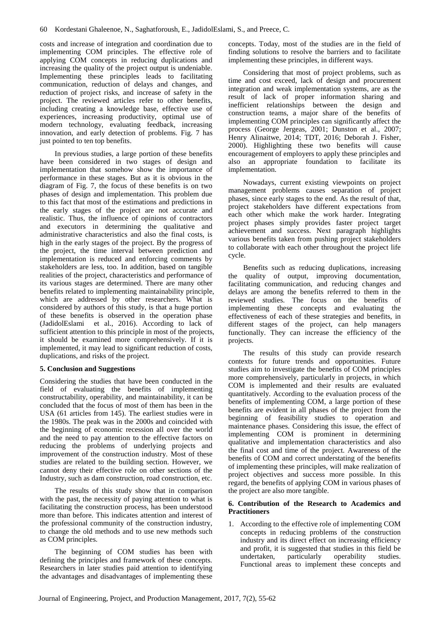costs and increase of integration and coordination due to implementing COM principles. The effective role of applying COM concepts in reducing duplications and increasing the quality of the project output is undeniable. Implementing these principles leads to facilitating communication, reduction of delays and changes, and reduction of project risks, and increase of safety in the project. The reviewed articles refer to other benefits, including creating a knowledge base, effective use of experiences, increasing productivity, optimal use of modern technology, evaluating feedback, increasing innovation, and early detection of problems. Fig. 7 has just pointed to ten top benefits.

In previous studies, a large portion of these benefits have been considered in two stages of design and implementation that somehow show the importance of performance in these stages. But as it is obvious in the diagram of Fig. 7, the focus of these benefits is on two phases of design and implementation. This problem due to this fact that most of the estimations and predictions in the early stages of the project are not accurate and realistic. Thus, the influence of opinions of contractors and executors in determining the qualitative and administrative characteristics and also the final costs, is high in the early stages of the project. By the progress of the project, the time interval between prediction and implementation is reduced and enforcing comments by stakeholders are less, too. In addition, based on tangible realities of the project, characteristics and performance of its various stages are determined. There are many other benefits related to implementing maintainability principle, which are addressed by other researchers. What is considered by authors of this study, is that a huge portion of these benefits is observed in the operation phase (JadidolEslami et al., 2016). According to lack of sufficient attention to this principle in most of the projects, it should be examined more comprehensively. If it is implemented, it may lead to significant reduction of costs, duplications, and risks of the project.

# **5. Conclusion and Suggestions**

Considering the studies that have been conducted in the field of evaluating the benefits of implementing constructability, operability, and maintainability, it can be concluded that the focus of most of them has been in the USA (61 articles from 145). The earliest studies were in the 1980s. The peak was in the 2000s and coincided with the beginning of economic recession all over the world and the need to pay attention to the effective factors on reducing the problems of underlying projects and improvement of the construction industry. Most of these studies are related to the building section. However, we cannot deny their effective role on other sections of the Industry, such as dam construction, road construction, etc.

The results of this study show that in comparison with the past, the necessity of paying attention to what is facilitating the construction process, has been understood more than before. This indicates attention and interest of the professional community of the construction industry, to change the old methods and to use new methods such as COM principles.

The beginning of COM studies has been with defining the principles and framework of these concepts. Researchers in later studies paid attention to identifying the advantages and disadvantages of implementing these

concepts. Today, most of the studies are in the field of finding solutions to resolve the barriers and to facilitate implementing these principles, in different ways.

Considering that most of project problems, such as time and cost exceed, lack of design and procurement integration and weak implementation systems, are as the result of lack of proper information sharing and inefficient relationships between the design and construction teams, a major share of the benefits of implementing COM principles can significantly affect the process (George Jergeas, 2001; Dunston et al., 2007; Henry Alinaitwe, 2014; TDT, 2016; Deborah J. Fisher, 2000). Highlighting these two benefits will cause encouragement of employers to apply these principles and also an appropriate foundation to facilitate its implementation.

Nowadays, current existing viewpoints on project management problems causes separation of project phases, since early stages to the end. As the result of that, project stakeholders have different expectations from each other which make the work harder. Integrating project phases simply provides faster project target achievement and success. Next paragraph highlights various benefits taken from pushing project stakeholders to collaborate with each other throughout the project life cycle.

Benefits such as reducing duplications, increasing the quality of output, improving documentation, facilitating communication, and reducing changes and delays are among the benefits referred to them in the reviewed studies. The focus on the benefits of implementing these concepts and evaluating the effectiveness of each of these strategies and benefits, in different stages of the project, can help managers functionally. They can increase the efficiency of the projects.

The results of this study can provide research contexts for future trends and opportunities. Future studies aim to investigate the benefits of COM principles more comprehensively, particularly in projects, in which COM is implemented and their results are evaluated quantitatively. According to the evaluation process of the benefits of implementing COM, a large portion of these benefits are evident in all phases of the project from the beginning of feasibility studies to operation and maintenance phases. Considering this issue, the effect of implementing COM is prominent in determining qualitative and implementation characteristics and also the final cost and time of the project. Awareness of the benefits of COM and correct understating of the benefits of implementing these principles, will make realization of project objectives and success more possible. In this regard, the benefits of applying COM in various phases of the project are also more tangible.

## **6. Contribution of the Research to Academics and Practitioners**

1. According to the effective role of implementing COM concepts in reducing problems of the construction industry and its direct effect on increasing efficiency and profit, it is suggested that studies in this field be undertaken, particularly operability studies. Functional areas to implement these concepts and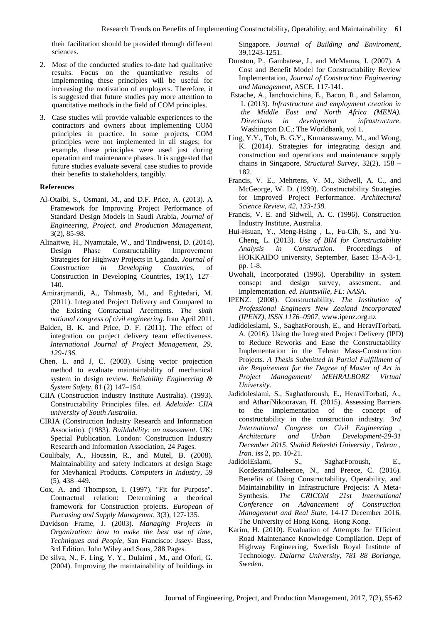their facilitation should be provided through different sciences.

- 2. Most of the conducted studies to-date had qualitative results. Focus on the quantitative results of implementing these principles will be useful for increasing the motivation of employers. Therefore, it is suggested that future studies pay more attention to quantitative methods in the field of COM principles.
- 3. Case studies will provide valuable experiences to the contractors and owners about implementing COM principles in practice. In some projects, COM principles were not implemented in all stages; for example, these principles were used just during operation and maintenance phases. It is suggested that future studies evaluate several case studies to provide their benefits to stakeholders, tangibly.

#### **References**

- Al-Otaibi, S., Osmani, M., and D.F. Price, A. (2013). A Framework for Improving Project Performance of Standard Design Models in Saudi Arabia, *Journal of Engineering, Project, and Production Management*, 3(2), 85-98.
- Alinaitwe, H., Nyamutale, W., and Tindiwensi, D. (2014). Design Phase Constructability Improvement Strategies for Highway Projects in Uganda. *Journal of Construction in Developing Countries*, of Construction in Developing Countries, 19(1), 127– 140.
- Amirarimandi, A., Tahmasb, M., and Eghtedari, M. (2011). Integrated Project Delivery and Compared to the Existing Contractual Areements. *The sixth national congress of civil engineering*. Iran April 2011.
- Baiden, B. K. and Price, D. F. (2011). The effect of integration on project delivery team effectiveness. *International Journal of Project Management, 29, 129-136.*
- Chen, L. and J, C. (2003). Using vector projection method to evaluate maintainability of mechanical system in design review. *Reliability Engineering & System Safety,* 81 (2) 147–154.
- CIIA (Construction Industry Institute Australia). (1993). Constructability Principles files. *ed. Adelaide: CIIA university of South Australia*.
- CIRIA (Construction Industry Research and Information Associatio). (1983). *Buildability: an assessment*. UK: Special Publication. London: Construction Industry Research and Information Association, 24 Pages.
- Coulibaly, A., Houssin, R., and Mutel, B. (2008). Maintainability and safety Indicators at design Stage for Mevhanical Products. *Computers In Industry*, [59](http://www.sciencedirect.com/science/journal/01663615/59/5) [\(5\)](http://www.sciencedirect.com/science/journal/01663615/59/5), 438–449.
- Cox, A. and Thompson, I. (1997). "Fit for Purpose". Contractual relation: Determining a theorical framework for Construction projects. *European of Purcasing and Supply Managemnt*, 3(3), 127-135*.*
- Davidson Frame, J. (2003). *Managing Projects in Organization: how to make the best use of time, Techniques and People,* San Francisco: Jssey- Bass, 3rd Edition, John Wiley and Sons, 288 Pages.
- De silva, N., F. Ling, Y. Y., Dulaimi , M., and Ofori, G. (2004). Improving the maintainability of buildings in

Singapore. *Journal of Building and Enviroment*, 39,1243-1251.

- Dunston, P., Gambatese, J., and McManus, J. (2007). A Cost and Benefit Model for Constructability Review Implementation, *Journal of Construction Engineering and Management*, ASCE. 117-141.
- Estache, A., Ianchovichina, E., Bacon, R., and Salamon, I. (2013). *Infrastructure and employment creation in the Middle East and North Africa (MENA). Directions in development infrastructure*. Washington D.C.: The Worldbank, vol 1.
- Ling, Y.Y., Toh, B. G.Y., Kumaraswamy, M., and Wong, K. (2014). Strategies for integrating design and construction and operations and maintenance supply chains in Singapore, *Structural Survey*, 32(2), 158 – 182.
- Francis, V. E., Mehrtens, V. M., Sidwell, A. C., and McGeorge, W. D. (1999). Constructability Strategies for Improved Project Performance. *Architectural Science Review, 42, 133-138.*
- Francis, V. E. and Sidwell, A. C. (1996). Construction Industry Institute, Australia.
- Hui-Hsuan, Y., Meng-Hsing , L., Fu-Cih, S., and Yu-Cheng, L. (2013). *Use of BIM for Constructability Analysis in Construction*. Proceedings of HOKKAIDO university, September, Easec 13-A-3-1, pp. 1-8.
- Uwohali, Incorporated (1996). Operability in system consept and design survey, assesment, and implementation. *ed. Huntsville, FL: NASA*.
- IPENZ. (2008). Constructability. *The Institution of Professional Engineers New Zealand Incorporated (IPENZ), ISSN 1176–0907*, www.ipenz.org.nz
- Jadidoleslami, S., SaghatForoush, E., and HeraviTorbati, A. (2016). Using the Integrated Project Delivery (IPD) to Reduce Reworks and Ease the Constructability Implementation in the Tehran Mass-Construction Projects. *A Thesis Submitted in Partial Fulfillment of the Requirement for the Degree of Master of Art in Project Management/ MEHRALBORZ Virtual University*.
- Jadidoleslami, S., Saghatforoush, E., HeraviTorbati, A., and AthariNikooravan, H. (2015). Assessing Barriers to the implementation of the concept of constructability in the construction industry. *3rd International Congress on Civil Engineering , Architecture and Urban Development-29-31 December 2015, Shahid Beheshti University , Tehran , Iran*. iss 2, pp. 10-21.
- JadidolEslami, S., SaghatForoush, E., KordestaniGhaleenoe, N., and Preece, C. (2016). Benefits of Using Constructability, Operability, and Maintainability in Infrastructure Projects: A Meta-Synthesis. *The CRICOM 21st International Conference on Advancement of Construction Management and Real State*, 14-17 December 2016, The University of Hong Kong, Hong Kong.
- Karim, H. (2010). Evaluation of Attempts for Efficient Road Maintenance Knowledge Compilation. Dept of Highway Engineering, Swedish Royal Institute of Technology. *Dalarna University, 781 88 Borlange, Sweden*.